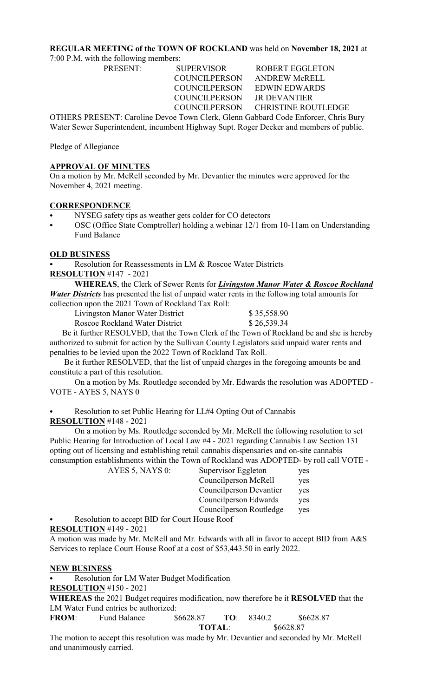# **REGULAR MEETING of the TOWN OF ROCKLAND** was held on **November 18, 2021** at

7:00 P.M. with the following members:

COUNCILPERSON JR DEVANTIER

PRESENT: SUPERVISOR ROBERT EGGLETON COUNCILPERSON ANDREW McRELL COUNCILPERSON EDWIN EDWARDS COUNCILPERSON CHRISTINE ROUTLEDGE

OTHERS PRESENT: Caroline Devoe Town Clerk, Glenn Gabbard Code Enforcer, Chris Bury Water Sewer Superintendent, incumbent Highway Supt. Roger Decker and members of public.

Pledge of Allegiance

# **APPROVAL OF MINUTES**

On a motion by Mr. McRell seconded by Mr. Devantier the minutes were approved for the November 4, 2021 meeting.

# **CORRESPONDENCE**

- NYSEG safety tips as weather gets colder for CO detectors
- OSC (Office State Comptroller) holding a webinar 12/1 from 10-11am on Understanding Fund Balance

# **OLD BUSINESS**

Resolution for Reassessments in LM & Roscoe Water Districts

**RESOLUTION** #147 - 2021

**WHEREAS**, the Clerk of Sewer Rents for *Livingston Manor Water & Roscoe Rockland Water Districts* has presented the list of unpaid water rents in the following total amounts for collection upon the 2021 Town of Rockland Tax Roll:

Livingston Manor Water District \$ 35,558.90

Roscoe Rockland Water District \$ 26,539.34

 Be it further RESOLVED, that the Town Clerk of the Town of Rockland be and she is hereby authorized to submit for action by the Sullivan County Legislators said unpaid water rents and penalties to be levied upon the 2022 Town of Rockland Tax Roll.

 Be it further RESOLVED, that the list of unpaid charges in the foregoing amounts be and constitute a part of this resolution.

On a motion by Ms. Routledge seconded by Mr. Edwards the resolution was ADOPTED - VOTE - AYES 5, NAYS 0

Resolution to set Public Hearing for LL#4 Opting Out of Cannabis

**RESOLUTION** #148 - 2021

 On a motion by Ms. Routledge seconded by Mr. McRell the following resolution to set Public Hearing for Introduction of Local Law #4 - 2021 regarding Cannabis Law Section 131 opting out of licensing and establishing retail cannabis dispensaries and on-site cannabis consumption establishments within the Town of Rockland was ADOPTED- by roll call VOTE -

| AYES 5, NAYS $0$ :       | Supervisor Eggleton      | yes |
|--------------------------|--------------------------|-----|
|                          | Councilperson McRell     | yes |
|                          | Council person Devantier | yes |
|                          | Council person Edwards   | yes |
|                          | Councilperson Routledge  | yes |
| $\overline{\phantom{a}}$ |                          |     |

Resolution to accept BID for Court House Roof

**RESOLUTION** #149 - 2021

A motion was made by Mr. McRell and Mr. Edwards with all in favor to accept BID from A&S Services to replace Court House Roof at a cost of \$53,443.50 in early 2022.

# **NEW BUSINESS**

Resolution for LM Water Budget Modification **RESOLUTION** #150 - 2021

**WHEREAS** the 2021 Budget requires modification, now therefore be it **RESOLVED** that the LM Water Fund entries be authorized:

**FROM**: Fund Balance \$6628.87 **TO**: 8340.2 \$6628.87 **TOTAL**: \$6628.87

The motion to accept this resolution was made by Mr. Devantier and seconded by Mr. McRell and unanimously carried.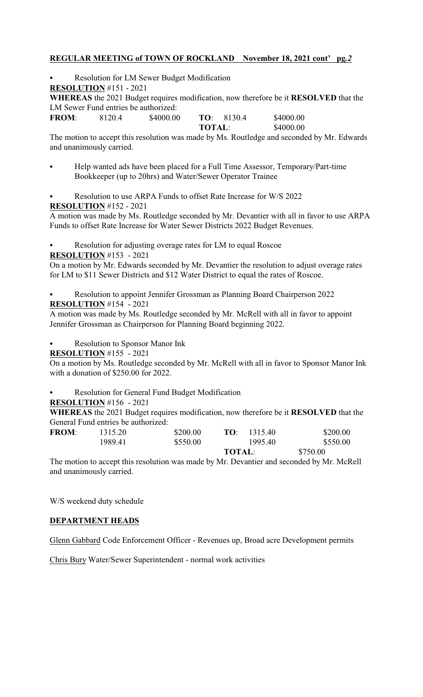### **REGULAR MEETING of TOWN OF ROCKLAND November 18, 2021 cont' pg***.2*

Resolution for LM Sewer Budget Modification **RESOLUTION** #151 - 2021 **WHEREAS** the 2021 Budget requires modification, now therefore be it **RESOLVED** that the LM Sewer Fund entries be authorized: **FROM**: 8120.4 \$4000.00 **TO**: 8130.4 \$4000.00 **TOTAL**: \$4000.00

The motion to accept this resolution was made by Ms. Routledge and seconded by Mr. Edwards and unanimously carried.

- Help wanted ads have been placed for a Full Time Assessor, Temporary/Part-time Bookkeeper (up to 20hrs) and Water/Sewer Operator Trainee
- Resolution to use ARPA Funds to offset Rate Increase for W/S 2022

**RESOLUTION** #152 - 2021

A motion was made by Ms. Routledge seconded by Mr. Devantier with all in favor to use ARPA Funds to offset Rate Increase for Water Sewer Districts 2022 Budget Revenues.

Resolution for adjusting overage rates for LM to equal Roscoe

**RESOLUTION** #153 - 2021

On a motion by Mr. Edwards seconded by Mr. Devantier the resolution to adjust overage rates for LM to \$11 Sewer Districts and \$12 Water District to equal the rates of Roscoe.

Resolution to appoint Jennifer Grossman as Planning Board Chairperson 2022 **RESOLUTION** #154 - 2021

A motion was made by Ms. Routledge seconded by Mr. McRell with all in favor to appoint Jennifer Grossman as Chairperson for Planning Board beginning 2022.

Resolution to Sponsor Manor Ink

**RESOLUTION** #155 - 2021

On a motion by Ms. Routledge seconded by Mr. McRell with all in favor to Sponsor Manor Ink with a donation of \$250.00 for 2022.

Resolution for General Fund Budget Modification

**RESOLUTION** #156 - 2021

**WHEREAS** the 2021 Budget requires modification, now therefore be it **RESOLVED** that the General Fund entries be authorized:

|              |         |          | <b>TOTAL:</b>  | \$750.00 |
|--------------|---------|----------|----------------|----------|
|              | 1989.41 | \$550.00 | 1995.40        | \$550.00 |
| <b>FROM:</b> | 1315.20 | \$200.00 | 1315.40<br>TΩ· | \$200.00 |

The motion to accept this resolution was made by Mr. Devantier and seconded by Mr. McRell and unanimously carried.

W/S weekend duty schedule

# **DEPARTMENT HEADS**

Glenn Gabbard Code Enforcement Officer - Revenues up, Broad acre Development permits

Chris Bury Water/Sewer Superintendent - normal work activities